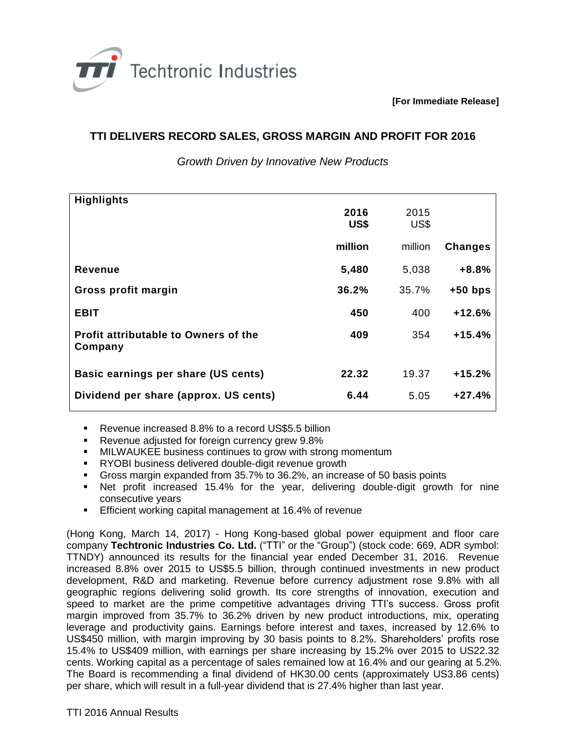

**[For Immediate Release]**

## **TTI DELIVERS RECORD SALES, GROSS MARGIN AND PROFIT FOR 2016**

*Growth Driven by Innovative New Products*

| <b>Highlights</b>                                      | 2016<br>US\$ | 2015<br>US\$ |                |
|--------------------------------------------------------|--------------|--------------|----------------|
|                                                        | million      | million      | <b>Changes</b> |
| <b>Revenue</b>                                         | 5,480        | 5,038        | $+8.8%$        |
| Gross profit margin                                    | 36.2%        | 35.7%        | $+50$ bps      |
| <b>EBIT</b>                                            | 450          | 400          | $+12.6%$       |
| <b>Profit attributable to Owners of the</b><br>Company | 409          | 354          | $+15.4%$       |
| Basic earnings per share (US cents)                    | 22.32        | 19.37        | $+15.2%$       |
| Dividend per share (approx. US cents)                  | 6.44         | 5.05         | $+27.4%$       |

- Revenue increased 8.8% to a record US\$5.5 billion
- **Revenue adjusted for foreign currency grew 9.8%**
- **MILWAUKEE business continues to grow with strong momentum**
- **RYOBI business delivered double-digit revenue growth**
- Gross margin expanded from 35.7% to 36.2%, an increase of 50 basis points
- Net profit increased 15.4% for the year, delivering double-digit growth for nine consecutive years
- **Efficient working capital management at 16.4% of revenue**

(Hong Kong, March 14, 2017) - Hong Kong-based global power equipment and floor care company **Techtronic Industries Co. Ltd.** ("TTI" or the "Group") (stock code: 669, ADR symbol: TTNDY) announced its results for the financial year ended December 31, 2016. Revenue increased 8.8% over 2015 to US\$5.5 billion, through continued investments in new product development, R&D and marketing. Revenue before currency adjustment rose 9.8% with all geographic regions delivering solid growth. Its core strengths of innovation, execution and speed to market are the prime competitive advantages driving TTI's success. Gross profit margin improved from 35.7% to 36.2% driven by new product introductions, mix, operating leverage and productivity gains. Earnings before interest and taxes, increased by 12.6% to US\$450 million, with margin improving by 30 basis points to 8.2%. Shareholders' profits rose 15.4% to US\$409 million, with earnings per share increasing by 15.2% over 2015 to US22.32 cents. Working capital as a percentage of sales remained low at 16.4% and our gearing at 5.2%. The Board is recommending a final dividend of HK30.00 cents (approximately US3.86 cents) per share, which will result in a full-year dividend that is 27.4% higher than last year.